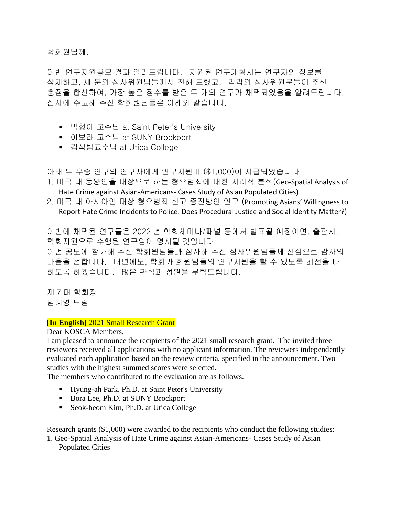학회원님께,

이번 연구지원공모 결과 알려드립니다. 지원된 연구계획서는 연구자의 정보를 삭제하고, 세 분의 심사위원님들께서 전해 드렸고, 각각의 심사위원분들이 주신 총점을 합산하여, 가장 높은 점수를 받은 두 개의 연구가 채택되었음을 알려드립니다. 심사에 수고해 주신 학회원님들은 아래와 같습니다.

- 박형아 교수님 at Saint Peter's University
- 이보라 교수님 at SUNY Brockport
- 김석범교수님 at Utica College

아래 두 우승 연구의 연구자에게 연구지원비 (\$1,000)이 지급되었습니다.

- 1. 미국 내 동양인을 대상으로 하는 혐오범죄에 대한 지리적 분석(Geo-Spatial Analysis of Hate Crime against Asian-Americans- Cases Study of Asian Populated Cities)
- 2. 미국 내 아시아인 대상 혐오범죄 신고 증진방안 연구 (Promoting Asians' Willingness to Report Hate Crime Incidents to Police: Does Procedural Justice and Social Identity Matter?)

이번에 채택된 연구들은 2022 년 학회세미나/패널 등에서 발표될 예정이면, 출판시, 학회지원으로 수행된 연구임이 명시될 것입니다.

이번 공모에 참가해 주신 학회원님들과 심사해 주신 심사위원님들께 진심으로 감사의 마음을 전합니다. 내년에도, 학회가 회원님들의 연구지원을 할 수 있도록 최선을 다 하도록 하겠습니다. 많은 관심과 성원을 부탁드립니다.

제 7 대 학회장 임혜영 드림

## **[In English]** 2021 Small Research Grant

Dear KOSCA Members,

I am pleased to announce the recipients of the 2021 small research grant. The invited three reviewers received all applications with no applicant information. The reviewers independently evaluated each application based on the review criteria, specified in the announcement. Two studies with the highest summed scores were selected.

The members who contributed to the evaluation are as follows.

- **EXECUTE:** Hyung-ah Park, Ph.D. at Saint Peter's University
- Bora Lee, Ph.D. at SUNY Brockport
- Seok-beom Kim, Ph.D. at Utica College

Research grants (\$1,000) were awarded to the recipients who conduct the following studies:

1. Geo-Spatial Analysis of Hate Crime against Asian-Americans- Cases Study of Asian Populated Cities